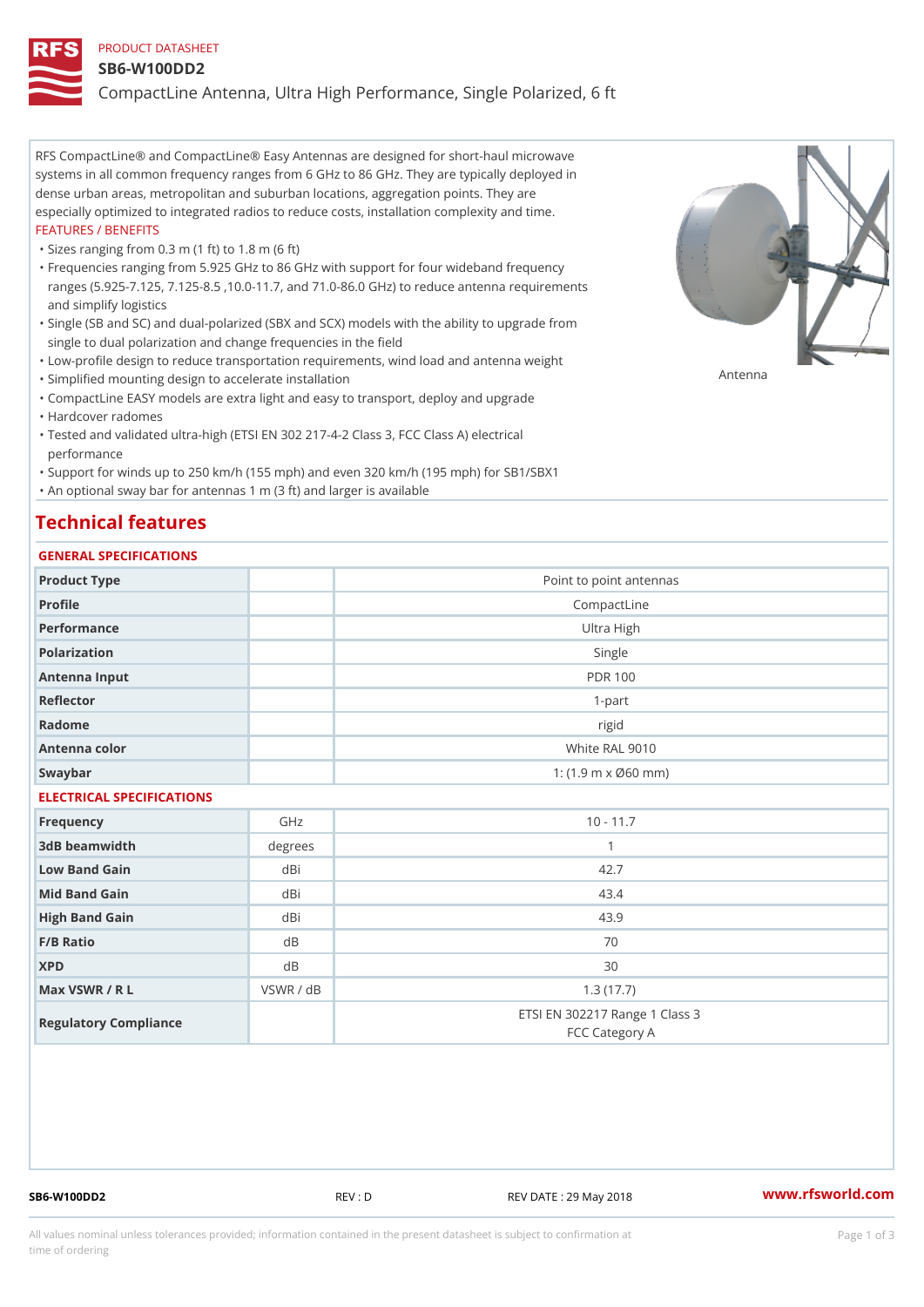### PRODUCT DATASHEET

#### SB6-W100DD2

CompactLine Antenna, Ultra High Performance, Single Polarized, 6 ft

RFS CompactLine® and CompactLine® Easy Antennas are designed for short-haul microwave systems in all common frequency ranges from 6 GHz to 86 GHz. They are typically deployed in dense urban areas, metropolitan and suburban locations, aggregation points. They are especially optimized to integrated radios to reduce costs, installation complexity and time. FEATURES / BENEFITS

"Sizes ranging from 0.3 m (1 ft) to 1.8 m (6 ft)

- Frequencies ranging from 5.925 GHz to 86 GHz with support for four wideband frequency " ranges (5.925-7.125, 7.125-8.5 ,10.0-11.7, and 71.0-86.0 GHz) to reduce antenna requirements and simplify logistics
- Single (SB and SC) and dual-polarized (SBX and SCX) models with the ability to upgrade from " single to dual polarization and change frequencies in the field
- "Low-profile design to reduce transportation requirements, wind load and antenna weight
- "Simplified mounting design to accelerate installation

 "CompactLine EASY models are extra light and easy to transport, deploy and upgrade "Hardcover radomes

Tested and validated ultra-high (ETSI EN 302 217-4-2 Class 3, FCC Class A) electrical " performance

 "Support for winds up to 250 km/h (155 mph) and even 320 km/h (195 mph) for SB1/SBX1 "An optional sway bar for antennas 1 m (3 ft) and larger is available

# Technical features

## GENERAL SPECIFICATIONS

| OLIVERAL OF LOTITUATIONS  |                |                                                         |  |  |
|---------------------------|----------------|---------------------------------------------------------|--|--|
| Product Type              |                | Point to point antennas                                 |  |  |
| Profile                   | CompactLine    |                                                         |  |  |
| Performance               | Ultra High     |                                                         |  |  |
| Polarization              |                | Single                                                  |  |  |
| Antenna Input             | <b>PDR 100</b> |                                                         |  |  |
| Reflector                 |                | $1 - p$ art                                             |  |  |
| Radome                    |                | rigid                                                   |  |  |
| Antenna color             |                | White RAL 9010                                          |  |  |
| Swaybar                   |                | 1: $(1.9 \, \text{m} \times \emptyset 60 \, \text{mm})$ |  |  |
| ELECTRICAL SPECIFICATIONS |                |                                                         |  |  |
| Frequency                 | GHz            | $10 - 11.7$                                             |  |  |
| 3dB beamwidth             | degree:        | $\mathbf{1}$                                            |  |  |
| Low Band Gain             | dBi            | 42.7                                                    |  |  |
| Mid Band Gain             | dBi            | 43.4                                                    |  |  |
| High Band Gain            | dBi            | 43.9                                                    |  |  |
| F/B Ratio                 | d B            | 70                                                      |  |  |
| <b>XPD</b>                | d B            | 30                                                      |  |  |
| Max VSWR / R L            | VSWR / dB      | 1.3(17.7)                                               |  |  |
| Regulatory Compliance     |                | ETSI EN 302217 Range 1 Class 3<br>FCC Category A        |  |  |

SB6-W100DD2 REV : D REV DATE : 29 May 2018 [www.](https://www.rfsworld.com)rfsworld.com

Antenna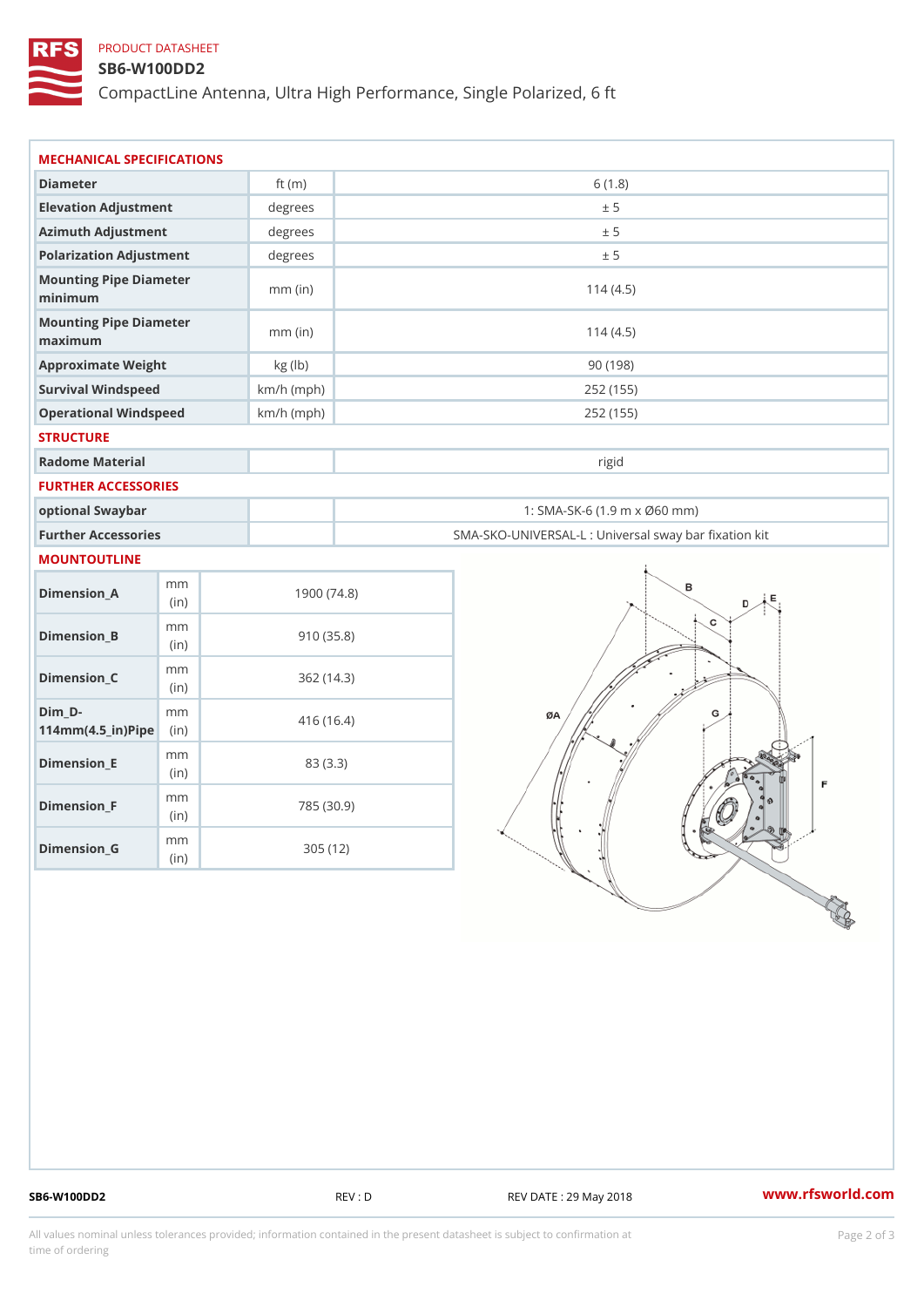# PRODUCT DATASHEET

### SB6-W100DD2

CompactLine Antenna, Ultra High Performance, Single Polarized, 6 ft

| MECHANICAL SPECIFICATIONS                                      |              |                                                   |  |
|----------------------------------------------------------------|--------------|---------------------------------------------------|--|
| Diameter                                                       | ft $(m)$     | 6(1.8)                                            |  |
| Elevation Adjustment                                           | degrees      | ± 5                                               |  |
| Azimuth Adjustment                                             | degrees      | ± 5                                               |  |
| Polarization Adjustment                                        | degrees      | ± 5                                               |  |
| Mounting Pipe Diameter<br>minimum                              | $mm$ (in)    | 114(4.5)                                          |  |
| Mounting Pipe Diameter<br>maximum                              | $mm$ (in)    | 114(4.5)                                          |  |
| Approximate Weight                                             | kg (lb)      | 90(198)                                           |  |
| Survival Windspeed                                             | $km/h$ (mph) | 252 (155)                                         |  |
| Operational Windspeed                                          | $km/h$ (mph) | 252 (155)                                         |  |
| <b>STRUCTURE</b>                                               |              |                                                   |  |
| Radome Material                                                |              | rigid                                             |  |
| FURTHER ACCESSORIES                                            |              |                                                   |  |
| optional Swaybar                                               |              | 1: SMA-SK-6 (1.9 m x Ø60 mm)                      |  |
| Further Accessories                                            |              | SMA-SKO-UNIVERSAL-L : Universal sway bar fixation |  |
| MOUNTOUTLINE                                                   |              |                                                   |  |
| m m<br>$Dimension_A$<br>(in)                                   |              | 1900(74.8)                                        |  |
| m m<br>$Dimension_B$<br>(in)                                   |              | 910(35.8)                                         |  |
| m m<br>$Dimension_C$<br>(in)                                   |              | 362(14.3)                                         |  |
| $Dim_D - D -$<br>m m<br>$114$ m m $(4.5$ _ ir $)$ $R$ ii p $e$ |              | 416 (16.4)                                        |  |
| m m<br>$Dimension$ = E<br>(in)                                 |              | 83 (3.3)                                          |  |
| m m<br>$Dimension_F$<br>(in)                                   |              | 785 (30.9)                                        |  |
| $\mathsf m$ $\mathsf m$                                        |              | 305 (12)                                          |  |

SB6-W100DD2 REV : D REV DATE : 29 May 2018 WWW.rfsworld.com